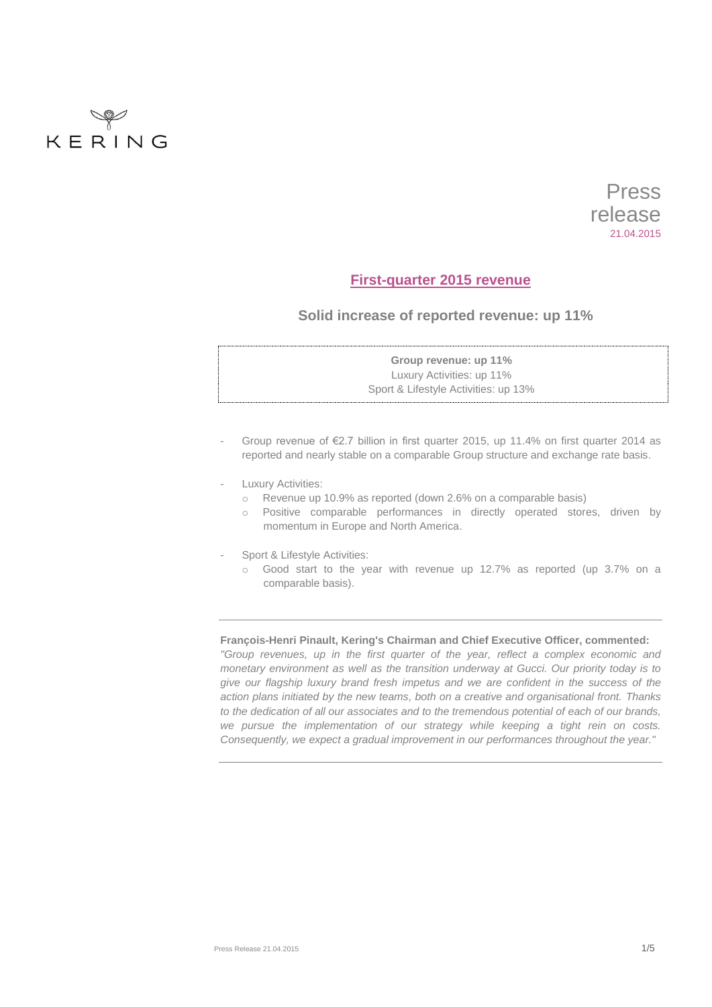

# Press release 21.04.2015

## **First-quarter 2015 revenue**

## **Solid increase of reported revenue: up 11%**

| Group revenue: up 11%                |  |
|--------------------------------------|--|
| Luxury Activities: up 11%            |  |
| Sport & Lifestyle Activities: up 13% |  |

- Group revenue of €2.7 billion in first quarter 2015, up 11.4% on first quarter 2014 as reported and nearly stable on a comparable Group structure and exchange rate basis.

Luxury Activities:

- o Revenue up 10.9% as reported (down 2.6% on a comparable basis)
- o Positive comparable performances in directly operated stores, driven by momentum in Europe and North America.
- Sport & Lifestyle Activities:
	- o Good start to the year with revenue up 12.7% as reported (up 3.7% on a comparable basis).

### **François-Henri Pinault, Kering's Chairman and Chief Executive Officer, commented:**

*"Group revenues, up in the first quarter of the year, reflect a complex economic and monetary environment as well as the transition underway at Gucci. Our priority today is to give our flagship luxury brand fresh impetus and we are confident in the success of the action plans initiated by the new teams, both on a creative and organisational front. Thanks to the dedication of all our associates and to the tremendous potential of each of our brands, we pursue the implementation of our strategy while keeping a tight rein on costs. Consequently, we expect a gradual improvement in our performances throughout the year."*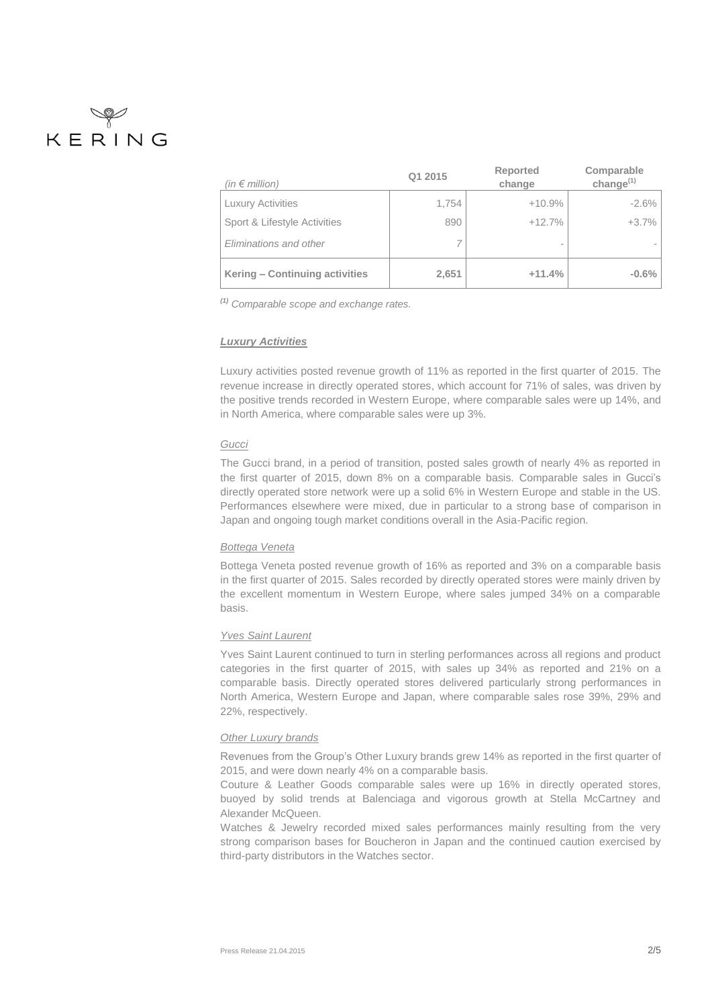

| (in $\epsilon$ million)        | Q1 2015 | Reported<br>change | Comparable<br>change $(1)$ |
|--------------------------------|---------|--------------------|----------------------------|
| <b>Luxury Activities</b>       | 1.754   | $+10.9%$           | $-2.6\%$                   |
| Sport & Lifestyle Activities   | 890     | $+12.7%$           | $+3.7%$                    |
| Eliminations and other         |         |                    |                            |
| Kering - Continuing activities | 2,651   | $+11.4%$           | $-0.6%$                    |

*(1) Comparable scope and exchange rates.*

#### *Luxury Activities*

Luxury activities posted revenue growth of 11% as reported in the first quarter of 2015. The revenue increase in directly operated stores, which account for 71% of sales, was driven by the positive trends recorded in Western Europe, where comparable sales were up 14%, and in North America, where comparable sales were up 3%.

#### *Gucci*

The Gucci brand, in a period of transition, posted sales growth of nearly 4% as reported in the first quarter of 2015, down 8% on a comparable basis. Comparable sales in Gucci's directly operated store network were up a solid 6% in Western Europe and stable in the US. Performances elsewhere were mixed, due in particular to a strong base of comparison in Japan and ongoing tough market conditions overall in the Asia-Pacific region.

#### *Bottega Veneta*

Bottega Veneta posted revenue growth of 16% as reported and 3% on a comparable basis in the first quarter of 2015. Sales recorded by directly operated stores were mainly driven by the excellent momentum in Western Europe, where sales jumped 34% on a comparable basis.

### *Yves Saint Laurent*

Yves Saint Laurent continued to turn in sterling performances across all regions and product categories in the first quarter of 2015, with sales up 34% as reported and 21% on a comparable basis. Directly operated stores delivered particularly strong performances in North America, Western Europe and Japan, where comparable sales rose 39%, 29% and 22%, respectively.

### *Other Luxury brands*

Revenues from the Group's Other Luxury brands grew 14% as reported in the first quarter of 2015, and were down nearly 4% on a comparable basis.

Couture & Leather Goods comparable sales were up 16% in directly operated stores, buoyed by solid trends at Balenciaga and vigorous growth at Stella McCartney and Alexander McQueen.

Watches & Jewelry recorded mixed sales performances mainly resulting from the very strong comparison bases for Boucheron in Japan and the continued caution exercised by third-party distributors in the Watches sector.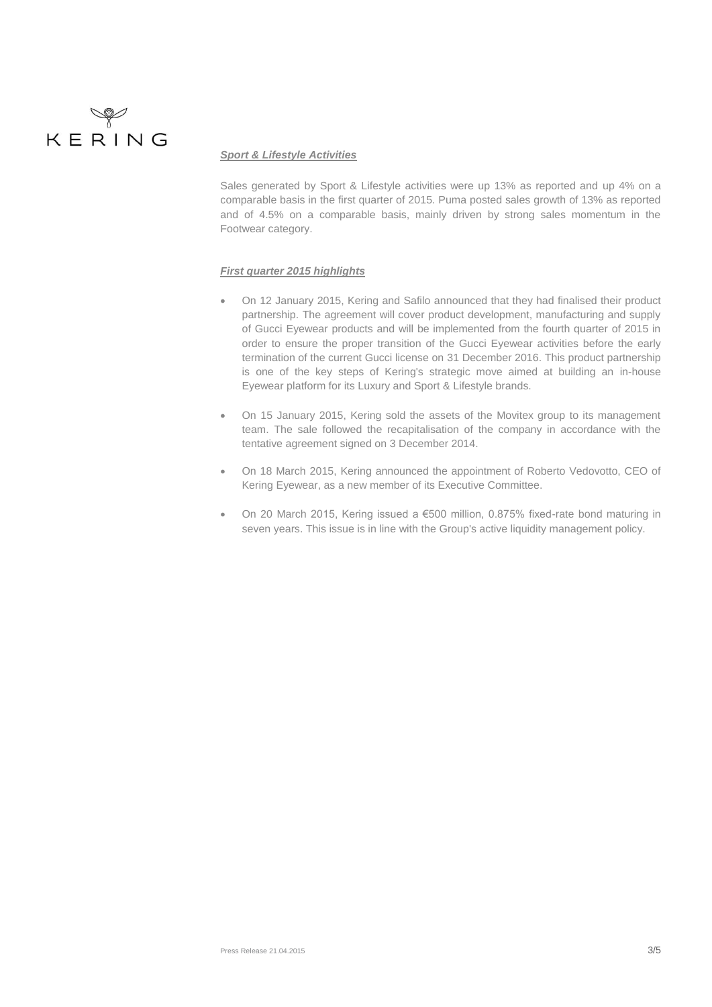

### *Sport & Lifestyle Activities*

Sales generated by Sport & Lifestyle activities were up 13% as reported and up 4% on a comparable basis in the first quarter of 2015. Puma posted sales growth of 13% as reported and of 4.5% on a comparable basis, mainly driven by strong sales momentum in the Footwear category.

### *First quarter 2015 highlights*

- On 12 January 2015, Kering and Safilo announced that they had finalised their product partnership. The agreement will cover product development, manufacturing and supply of Gucci Eyewear products and will be implemented from the fourth quarter of 2015 in order to ensure the proper transition of the Gucci Eyewear activities before the early termination of the current Gucci license on 31 December 2016. This product partnership is one of the key steps of Kering's strategic move aimed at building an in-house Eyewear platform for its Luxury and Sport & Lifestyle brands.
- On 15 January 2015, Kering sold the assets of the Movitex group to its management team. The sale followed the recapitalisation of the company in accordance with the tentative agreement signed on 3 December 2014.
- On 18 March 2015, Kering announced the appointment of Roberto Vedovotto, CEO of Kering Eyewear, as a new member of its Executive Committee.
- On 20 March 2015, Kering issued a €500 million, 0.875% fixed-rate bond maturing in seven years. This issue is in line with the Group's active liquidity management policy.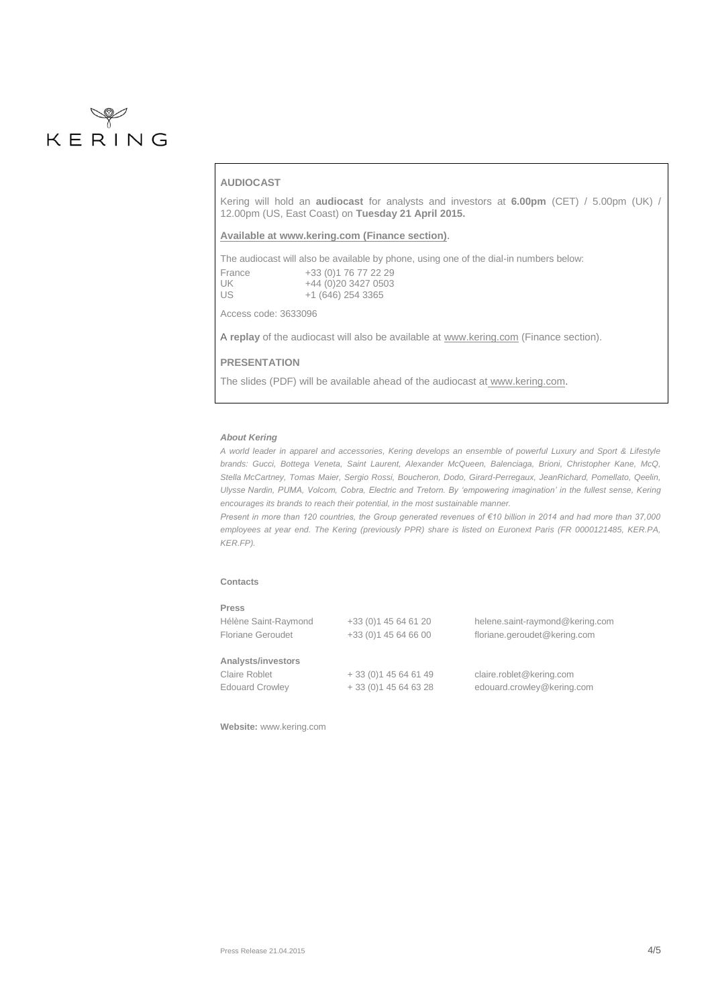

#### **AUDIOCAST**

Kering will hold an **audiocast** for analysts and investors at **6.00pm** (CET) / 5.00pm (UK) / 12.00pm (US, East Coast) on **Tuesday 21 April 2015.**

### **Available at [www.kering.com \(](http://www.kering.com/)Finance section)**.

The audiocast will also be available by phone, using one of the dial-in numbers below: France +33 (0)1 76 77 22 29  $0)20$  3427 0503

| UK | +44 (0)20 3427 050 |
|----|--------------------|
| US | +1 (646) 254 3365  |

Access code: 3633096

A **replay** of the audiocast will also be available at [www.kering.com](http://www.kering.com/) (Finance section).

### **PRESENTATION**

The slides (PDF) will be available ahead of the audiocast at [www.kering.com.](http://www.kering.com/)

#### *About Kering*

*A world leader in apparel and accessories, Kering develops an ensemble of powerful Luxury and Sport & Lifestyle brands: Gucci, Bottega Veneta, Saint Laurent, Alexander McQueen, Balenciaga, Brioni, Christopher Kane, McQ, Stella McCartney, Tomas Maier, Sergio Rossi, Boucheron, Dodo, Girard-Perregaux, JeanRichard, Pomellato, Qeelin, Ulysse Nardin, PUMA, Volcom, Cobra, Electric and Tretorn. By 'empowering imagination' in the fullest sense, Kering encourages its brands to reach their potential, in the most sustainable manner.*

*Present in more than 120 countries, the Group generated revenues of €10 billion in 2014 and had more than 37,000 employees at year end. The Kering (previously PPR) share is listed on Euronext Paris (FR 0000121485, KER.PA, KER.FP).*

### **Contacts**

| Press                  |                        |                                 |
|------------------------|------------------------|---------------------------------|
| Hélène Saint-Raymond   | +33 (0) 1 45 64 61 20  | helene.saint-raymond@kering.com |
| Floriane Geroudet      | +33 (0) 1 45 64 66 00  | floriane.geroudet@kering.com    |
| Analysts/investors     |                        |                                 |
| Claire Roblet          | $+33(0)145646149$      | claire.roblet@kering.com        |
| <b>Edouard Crowley</b> | + 33 (0) 1 45 64 63 28 | edouard.crowley@kering.com      |

**Website:** [www.kering.com](http://www.kering.com/)